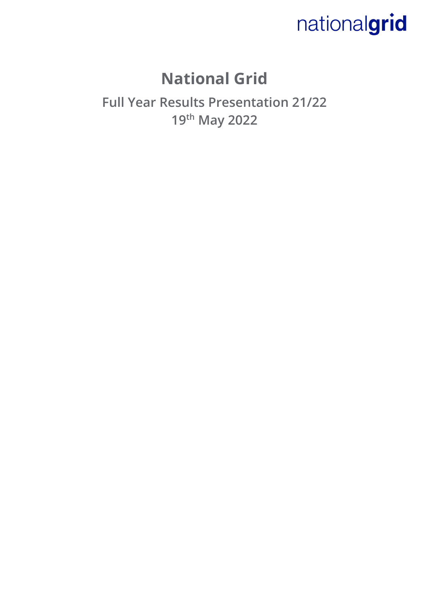### **National Grid**

**Full Year Results Presentation 21/22 19th May 2022**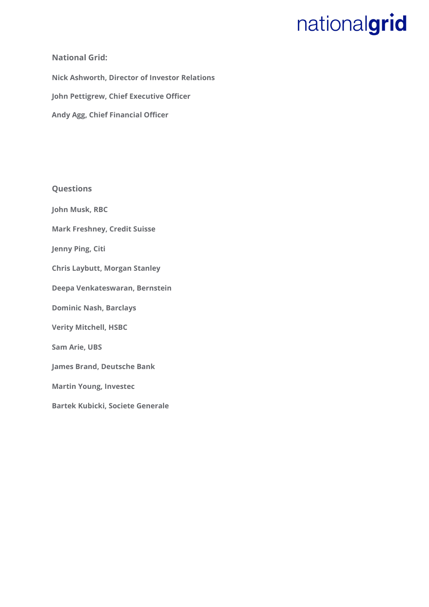#### **National Grid:**

**Nick Ashworth, Director of Investor Relations John Pettigrew, Chief Executive Officer Andy Agg, Chief Financial Officer** 

**Questions** 

**John Musk, RBC**

**Mark Freshney, Credit Suisse**

**Jenny Ping, Citi** 

**Chris Laybutt, Morgan Stanley**

**Deepa Venkateswaran, Bernstein**

**Dominic Nash, Barclays**

**Verity Mitchell, HSBC**

**Sam Arie, UBS**

**James Brand, Deutsche Bank** 

**Martin Young, Investec**

**Bartek Kubicki, Societe Generale**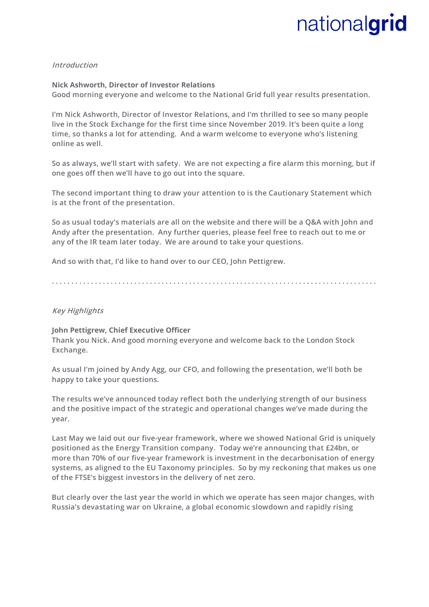#### **Introduction**

**Nick Ashworth, Director of Investor Relations Good morning everyone and welcome to the National Grid full year results presentation.** 

**I'm Nick Ashworth, Director of Investor Relations, and I'm thrilled to see so many people live in the Stock Exchange for the first time since November 2019. It's been quite a long time, so thanks a lot for attending. And a warm welcome to everyone who's listening online as well.** 

**So as always, we'll start with safety. We are not expecting a fire alarm this morning, but if one goes off then we'll have to go out into the square.**

**The second important thing to draw your attention to is the Cautionary Statement which is at the front of the presentation.** 

**So as usual today's materials are all on the website and there will be a Q&A with John and Andy after the presentation. Any further queries, please feel free to reach out to me or any of the IR team later today. We are around to take your questions.** 

**And so with that, I'd like to hand over to our CEO, John Pettigrew.** 

**. . . . . . . . . . . . . . . . . . . . . . . . . . . . . . . . . . . . . . . . . . . . . . . . . . . . . . . . . . . . . . . . . . . . . . . . . . . . . . . . . . .** 

#### **Key Highlights**

#### **John Pettigrew, Chief Executive Officer**

**Thank you Nick. And good morning everyone and welcome back to the London Stock Exchange.**

**As usual I'm joined by Andy Agg, our CFO, and following the presentation, we'll both be happy to take your questions.** 

**The results we've announced today reflect both the underlying strength of our business and the positive impact of the strategic and operational changes we've made during the year.** 

**Last May we laid out our five-year framework, where we showed National Grid is uniquely positioned as the Energy Transition company. Today we're announcing that £24bn, or more than 70% of our five-year framework is investment in the decarbonisation of energy systems, as aligned to the EU Taxonomy principles. So by my reckoning that makes us one of the FTSE's biggest investors in the delivery of net zero.**

**But clearly over the last year the world in which we operate has seen major changes, with Russia's devastating war on Ukraine, a global economic slowdown and rapidly rising**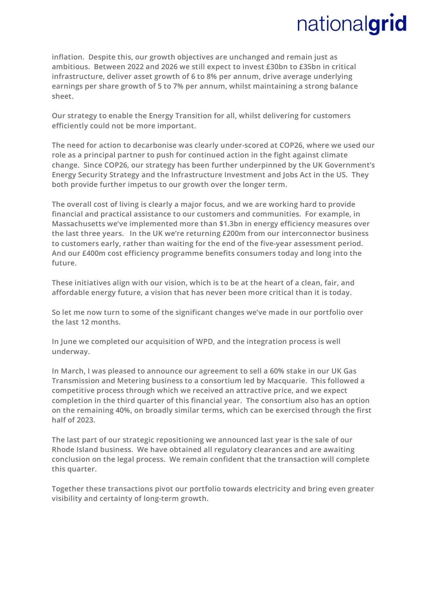**inflation. Despite this, our growth objectives are unchanged and remain just as ambitious. Between 2022 and 2026 we still expect to invest £30bn to £35bn in critical infrastructure, deliver asset growth of 6 to 8% per annum, drive average underlying earnings per share growth of 5 to 7% per annum, whilst maintaining a strong balance sheet.**

**Our strategy to enable the Energy Transition for all, whilst delivering for customers efficiently could not be more important.**

**The need for action to decarbonise was clearly under-scored at COP26, where we used our role as a principal partner to push for continued action in the fight against climate change. Since COP26, our strategy has been further underpinned by the UK Government's Energy Security Strategy and the Infrastructure Investment and Jobs Act in the US. They both provide further impetus to our growth over the longer term.**

**The overall cost of living is clearly a major focus, and we are working hard to provide financial and practical assistance to our customers and communities. For example, in Massachusetts we've implemented more than \$1.3bn in energy efficiency measures over the last three years. In the UK we're returning £200m from our interconnector business to customers early, rather than waiting for the end of the five-year assessment period. And our £400m cost efficiency programme benefits consumers today and long into the future.**

**These initiatives align with our vision, which is to be at the heart of a clean, fair, and affordable energy future, a vision that has never been more critical than it is today.**

**So let me now turn to some of the significant changes we've made in our portfolio over the last 12 months.** 

**In June we completed our acquisition of WPD, and the integration process is well underway.** 

**In March, I was pleased to announce our agreement to sell a 60% stake in our UK Gas Transmission and Metering business to a consortium led by Macquarie. This followed a competitive process through which we received an attractive price, and we expect completion in the third quarter of this financial year. The consortium also has an option on the remaining 40%, on broadly similar terms, which can be exercised through the first half of 2023.**

**The last part of our strategic repositioning we announced last year is the sale of our Rhode Island business. We have obtained all regulatory clearances and are awaiting conclusion on the legal process. We remain confident that the transaction will complete this quarter.** 

**Together these transactions pivot our portfolio towards electricity and bring even greater visibility and certainty of long-term growth.**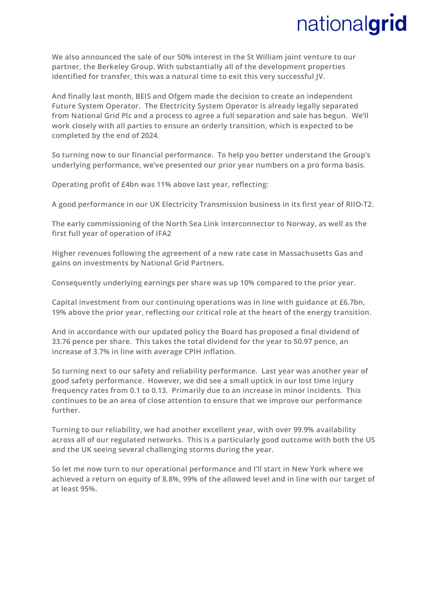**We also announced the sale of our 50% interest in the St William joint venture to our partner, the Berkeley Group. With substantially all of the development properties identified for transfer, this was a natural time to exit this very successful JV.**

**And finally last month, BEIS and Ofgem made the decision to create an independent Future System Operator. The Electricity System Operator is already legally separated from National Grid Plc and a process to agree a full separation and sale has begun. We'll work closely with all parties to ensure an orderly transition, which is expected to be completed by the end of 2024.**

**So turning now to our financial performance. To help you better understand the Group's underlying performance, we've presented our prior year numbers on a pro forma basis.** 

**Operating profit of £4bn was 11% above last year, reflecting:**

**A good performance in our UK Electricity Transmission business in its first year of RIIO-T2.** 

**The early commissioning of the North Sea Link interconnector to Norway, as well as the first full year of operation of IFA2**

**Higher revenues following the agreement of a new rate case in Massachusetts Gas and gains on investments by National Grid Partners.** 

**Consequently underlying earnings per share was up 10% compared to the prior year.**

**Capital investment from our continuing operations was in line with guidance at £6.7bn, 19% above the prior year, reflecting our critical role at the heart of the energy transition.**

**And in accordance with our updated policy the Board has proposed a final dividend of 33.76 pence per share. This takes the total dividend for the year to 50.97 pence, an increase of 3.7% in line with average CPIH inflation.** 

**So turning next to our safety and reliability performance. Last year was another year of good safety performance. However, we did see a small uptick in our lost time injury frequency rates from 0.1 to 0.13. Primarily due to an increase in minor incidents. This continues to be an area of close attention to ensure that we improve our performance further.**

**Turning to our reliability, we had another excellent year, with over 99.9% availability across all of our regulated networks. This is a particularly good outcome with both the US and the UK seeing several challenging storms during the year.**

**So let me now turn to our operational performance and I'll start in New York where we achieved a return on equity of 8.8%, 99% of the allowed level and in line with our target of at least 95%.**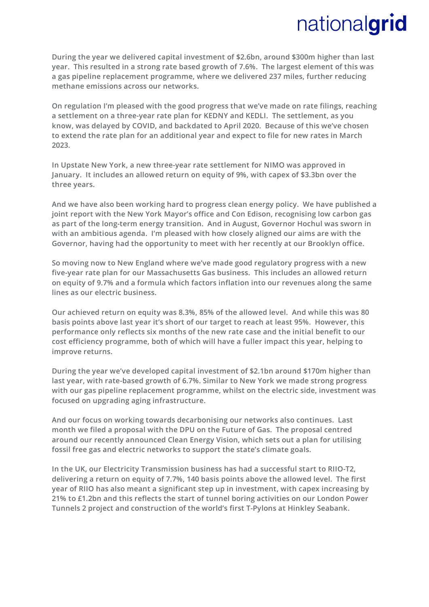**During the year we delivered capital investment of \$2.6bn, around \$300m higher than last year. This resulted in a strong rate based growth of 7.6%. The largest element of this was a gas pipeline replacement programme, where we delivered 237 miles, further reducing methane emissions across our networks.** 

**On regulation I'm pleased with the good progress that we've made on rate filings, reaching a settlement on a three-year rate plan for KEDNY and KEDLI. The settlement, as you know, was delayed by COVID, and backdated to April 2020. Because of this we've chosen to extend the rate plan for an additional year and expect to file for new rates in March 2023.**

**In Upstate New York, a new three-year rate settlement for NIMO was approved in January. It includes an allowed return on equity of 9%, with capex of \$3.3bn over the three years.**

**And we have also been working hard to progress clean energy policy. We have published a joint report with the New York Mayor's office and Con Edison, recognising low carbon gas as part of the long-term energy transition. And in August, Governor Hochul was sworn in with an ambitious agenda. I'm pleased with how closely aligned our aims are with the Governor, having had the opportunity to meet with her recently at our Brooklyn office.**

**So moving now to New England where we've made good regulatory progress with a new five-year rate plan for our Massachusetts Gas business. This includes an allowed return on equity of 9.7% and a formula which factors inflation into our revenues along the same lines as our electric business.** 

**Our achieved return on equity was 8.3%, 85% of the allowed level. And while this was 80 basis points above last year it's short of our target to reach at least 95%. However, this performance only reflects six months of the new rate case and the initial benefit to our cost efficiency programme, both of which will have a fuller impact this year, helping to improve returns.**

**During the year we've developed capital investment of \$2.1bn around \$170m higher than last year, with rate-based growth of 6.7%. Similar to New York we made strong progress with our gas pipeline replacement programme, whilst on the electric side, investment was focused on upgrading aging infrastructure.**

**And our focus on working towards decarbonising our networks also continues. Last month we filed a proposal with the DPU on the Future of Gas. The proposal centred around our recently announced Clean Energy Vision, which sets out a plan for utilising fossil free gas and electric networks to support the state's climate goals.**

**In the UK, our Electricity Transmission business has had a successful start to RIIO-T2, delivering a return on equity of 7.7%, 140 basis points above the allowed level. The first year of RIIO has also meant a significant step up in investment, with capex increasing by 21% to £1.2bn and this reflects the start of tunnel boring activities on our London Power Tunnels 2 project and construction of the world's first T-Pylons at Hinkley Seabank.**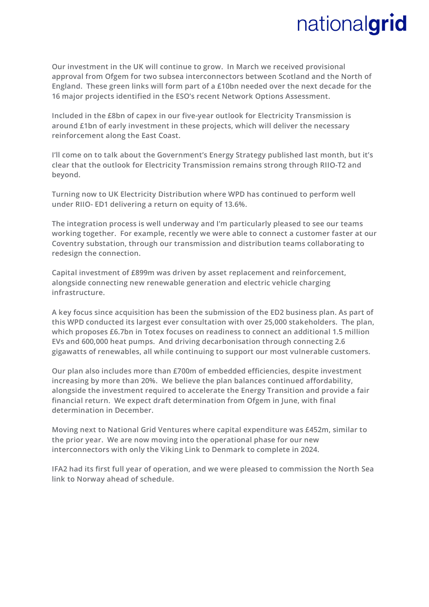**Our investment in the UK will continue to grow. In March we received provisional approval from Ofgem for two subsea interconnectors between Scotland and the North of England. These green links will form part of a £10bn needed over the next decade for the 16 major projects identified in the ESO's recent Network Options Assessment.** 

**Included in the £8bn of capex in our five-year outlook for Electricity Transmission is around £1bn of early investment in these projects, which will deliver the necessary reinforcement along the East Coast.** 

**I'll come on to talk about the Government's Energy Strategy published last month, but it's clear that the outlook for Electricity Transmission remains strong through RIIO-T2 and beyond.**

**Turning now to UK Electricity Distribution where WPD has continued to perform well under RIIO- ED1 delivering a return on equity of 13.6%.**

**The integration process is well underway and I'm particularly pleased to see our teams working together. For example, recently we were able to connect a customer faster at our Coventry substation, through our transmission and distribution teams collaborating to redesign the connection.** 

**Capital investment of £899m was driven by asset replacement and reinforcement, alongside connecting new renewable generation and electric vehicle charging infrastructure.**

**A key focus since acquisition has been the submission of the ED2 business plan. As part of this WPD conducted its largest ever consultation with over 25,000 stakeholders. The plan, which proposes £6.7bn in Totex focuses on readiness to connect an additional 1.5 million EVs and 600,000 heat pumps. And driving decarbonisation through connecting 2.6 gigawatts of renewables, all while continuing to support our most vulnerable customers.** 

**Our plan also includes more than £700m of embedded efficiencies, despite investment increasing by more than 20%. We believe the plan balances continued affordability, alongside the investment required to accelerate the Energy Transition and provide a fair financial return. We expect draft determination from Ofgem in June, with final determination in December.**

**Moving next to National Grid Ventures where capital expenditure was £452m, similar to the prior year. We are now moving into the operational phase for our new interconnectors with only the Viking Link to Denmark to complete in 2024.** 

**IFA2 had its first full year of operation, and we were pleased to commission the North Sea link to Norway ahead of schedule.**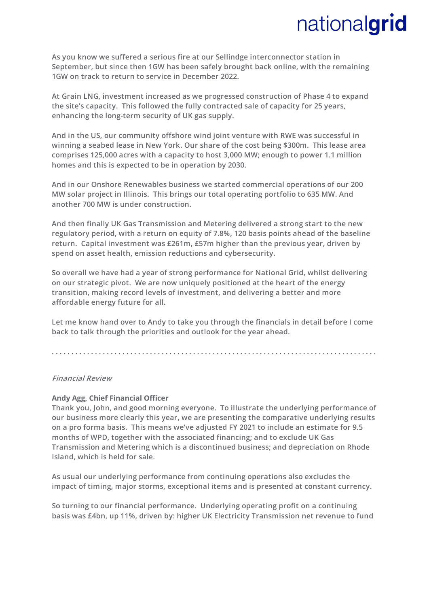**As you know we suffered a serious fire at our Sellindge interconnector station in September, but since then 1GW has been safely brought back online, with the remaining 1GW on track to return to service in December 2022.**

**At Grain LNG, investment increased as we progressed construction of Phase 4 to expand the site's capacity. This followed the fully contracted sale of capacity for 25 years, enhancing the long-term security of UK gas supply.** 

**And in the US, our community offshore wind joint venture with RWE was successful in winning a seabed lease in New York. Our share of the cost being \$300m. This lease area comprises 125,000 acres with a capacity to host 3,000 MW; enough to power 1.1 million homes and this is expected to be in operation by 2030.**

**And in our Onshore Renewables business we started commercial operations of our 200 MW solar project in Illinois. This brings our total operating portfolio to 635 MW. And another 700 MW is under construction.**

**And then finally UK Gas Transmission and Metering delivered a strong start to the new regulatory period, with a return on equity of 7.8%, 120 basis points ahead of the baseline return. Capital investment was £261m, £57m higher than the previous year, driven by spend on asset health, emission reductions and cybersecurity.**

**So overall we have had a year of strong performance for National Grid, whilst delivering on our strategic pivot. We are now uniquely positioned at the heart of the energy transition, making record levels of investment, and delivering a better and more affordable energy future for all.**

**Let me know hand over to Andy to take you through the financials in detail before I come back to talk through the priorities and outlook for the year ahead.**

**. . . . . . . . . . . . . . . . . . . . . . . . . . . . . . . . . . . . . . . . . . . . . . . . . . . . . . . . . . . . . . . . . . . . . . . . . . . . . . . . . . .** 

#### **Financial Review**

#### **Andy Agg, Chief Financial Officer**

**Thank you, John, and good morning everyone. To illustrate the underlying performance of our business more clearly this year, we are presenting the comparative underlying results on a pro forma basis. This means we've adjusted FY 2021 to include an estimate for 9.5 months of WPD, together with the associated financing; and to exclude UK Gas Transmission and Metering which is a discontinued business; and depreciation on Rhode Island, which is held for sale.**

**As usual our underlying performance from continuing operations also excludes the impact of timing, major storms, exceptional items and is presented at constant currency.**

**So turning to our financial performance. Underlying operating profit on a continuing basis was £4bn, up 11%, driven by: higher UK Electricity Transmission net revenue to fund**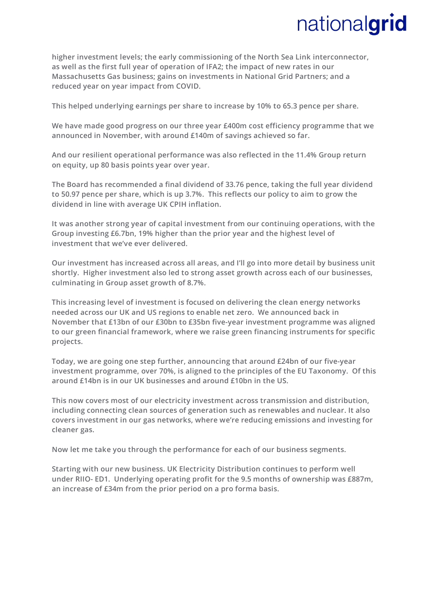**higher investment levels; the early commissioning of the North Sea Link interconnector, as well as the first full year of operation of IFA2; the impact of new rates in our Massachusetts Gas business; gains on investments in National Grid Partners; and a reduced year on year impact from COVID.**

**This helped underlying earnings per share to increase by 10% to 65.3 pence per share.**

**We have made good progress on our three year £400m cost efficiency programme that we announced in November, with around £140m of savings achieved so far.**

**And our resilient operational performance was also reflected in the 11.4% Group return on equity, up 80 basis points year over year.**

**The Board has recommended a final dividend of 33.76 pence, taking the full year dividend to 50.97 pence per share, which is up 3.7%. This reflects our policy to aim to grow the dividend in line with average UK CPIH inflation.**

**It was another strong year of capital investment from our continuing operations, with the Group investing £6.7bn, 19% higher than the prior year and the highest level of investment that we've ever delivered.**

**Our investment has increased across all areas, and I'll go into more detail by business unit shortly. Higher investment also led to strong asset growth across each of our businesses, culminating in Group asset growth of 8.7%.** 

**This increasing level of investment is focused on delivering the clean energy networks needed across our UK and US regions to enable net zero. We announced back in November that £13bn of our £30bn to £35bn five-year investment programme was aligned to our green financial framework, where we raise green financing instruments for specific projects.**

**Today, we are going one step further, announcing that around £24bn of our five-year investment programme, over 70%, is aligned to the principles of the EU Taxonomy. Of this around £14bn is in our UK businesses and around £10bn in the US.** 

**This now covers most of our electricity investment across transmission and distribution, including connecting clean sources of generation such as renewables and nuclear. It also covers investment in our gas networks, where we're reducing emissions and investing for cleaner gas.** 

**Now let me take you through the performance for each of our business segments.**

**Starting with our new business. UK Electricity Distribution continues to perform well under RIIO- ED1. Underlying operating profit for the 9.5 months of ownership was £887m, an increase of £34m from the prior period on a pro forma basis.**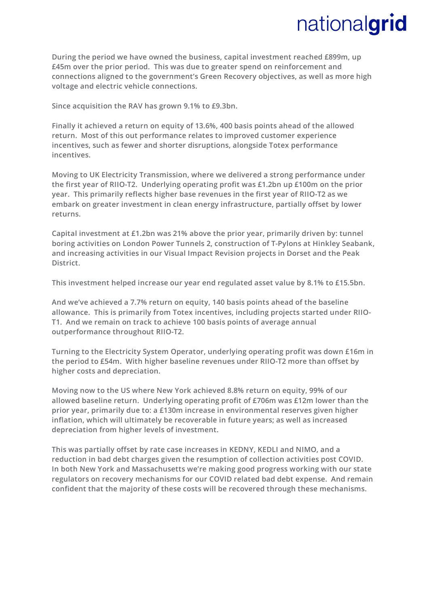**During the period we have owned the business, capital investment reached £899m, up £45m over the prior period. This was due to greater spend on reinforcement and connections aligned to the government's Green Recovery objectives, as well as more high voltage and electric vehicle connections.** 

**Since acquisition the RAV has grown 9.1% to £9.3bn.** 

**Finally it achieved a return on equity of 13.6%, 400 basis points ahead of the allowed return. Most of this out performance relates to improved customer experience incentives, such as fewer and shorter disruptions, alongside Totex performance incentives.**

**Moving to UK Electricity Transmission, where we delivered a strong performance under the first year of RIIO-T2. Underlying operating profit was £1.2bn up £100m on the prior year. This primarily reflects higher base revenues in the first year of RIIO-T2 as we embark on greater investment in clean energy infrastructure, partially offset by lower returns.** 

**Capital investment at £1.2bn was 21% above the prior year, primarily driven by: tunnel boring activities on London Power Tunnels 2, construction of T-Pylons at Hinkley Seabank, and increasing activities in our Visual Impact Revision projects in Dorset and the Peak District.** 

**This investment helped increase our year end regulated asset value by 8.1% to £15.5bn.** 

**And we've achieved a 7.7% return on equity, 140 basis points ahead of the baseline allowance. This is primarily from Totex incentives, including projects started under RIIO-T1. And we remain on track to achieve 100 basis points of average annual outperformance throughout RIIO-T2.** 

**Turning to the Electricity System Operator, underlying operating profit was down £16m in the period to £54m. With higher baseline revenues under RIIO-T2 more than offset by higher costs and depreciation.** 

**Moving now to the US where New York achieved 8.8% return on equity, 99% of our allowed baseline return. Underlying operating profit of £706m was £12m lower than the prior year, primarily due to: a £130m increase in environmental reserves given higher inflation, which will ultimately be recoverable in future years; as well as increased depreciation from higher levels of investment.** 

**This was partially offset by rate case increases in KEDNY, KEDLI and NIMO, and a reduction in bad debt charges given the resumption of collection activities post COVID. In both New York and Massachusetts we're making good progress working with our state regulators on recovery mechanisms for our COVID related bad debt expense. And remain confident that the majority of these costs will be recovered through these mechanisms.**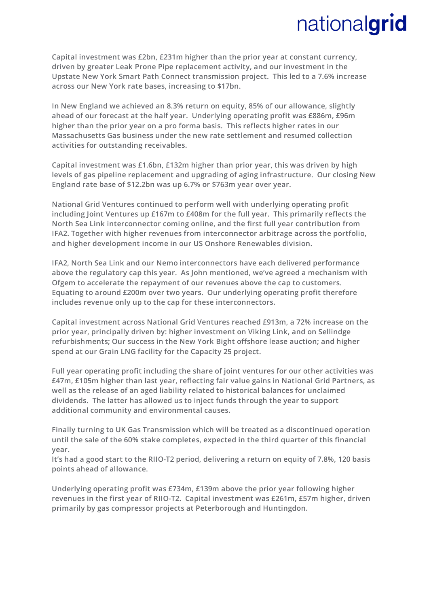**Capital investment was £2bn, £231m higher than the prior year at constant currency, driven by greater Leak Prone Pipe replacement activity, and our investment in the Upstate New York Smart Path Connect transmission project. This led to a 7.6% increase across our New York rate bases, increasing to \$17bn.** 

**In New England we achieved an 8.3% return on equity, 85% of our allowance, slightly ahead of our forecast at the half year. Underlying operating profit was £886m, £96m higher than the prior year on a pro forma basis. This reflects higher rates in our Massachusetts Gas business under the new rate settlement and resumed collection activities for outstanding receivables.** 

**Capital investment was £1.6bn, £132m higher than prior year, this was driven by high levels of gas pipeline replacement and upgrading of aging infrastructure. Our closing New England rate base of \$12.2bn was up 6.7% or \$763m year over year.** 

**National Grid Ventures continued to perform well with underlying operating profit including Joint Ventures up £167m to £408m for the full year. This primarily reflects the North Sea Link interconnector coming online, and the first full year contribution from IFA2. Together with higher revenues from interconnector arbitrage across the portfolio, and higher development income in our US Onshore Renewables division.**

**IFA2, North Sea Link and our Nemo interconnectors have each delivered performance above the regulatory cap this year. As John mentioned, we've agreed a mechanism with Ofgem to accelerate the repayment of our revenues above the cap to customers. Equating to around £200m over two years. Our underlying operating profit therefore includes revenue only up to the cap for these interconnectors.** 

**Capital investment across National Grid Ventures reached £913m, a 72% increase on the prior year, principally driven by: higher investment on Viking Link, and on Sellindge refurbishments; Our success in the New York Bight offshore lease auction; and higher spend at our Grain LNG facility for the Capacity 25 project.** 

**Full year operating profit including the share of joint ventures for our other activities was £47m, £105m higher than last year, reflecting fair value gains in National Grid Partners, as well as the release of an aged liability related to historical balances for unclaimed dividends. The latter has allowed us to inject funds through the year to support additional community and environmental causes.** 

**Finally turning to UK Gas Transmission which will be treated as a discontinued operation until the sale of the 60% stake completes, expected in the third quarter of this financial year.** 

**It's had a good start to the RIIO-T2 period, delivering a return on equity of 7.8%, 120 basis points ahead of allowance.** 

**Underlying operating profit was £734m, £139m above the prior year following higher revenues in the first year of RIIO-T2. Capital investment was £261m, £57m higher, driven primarily by gas compressor projects at Peterborough and Huntingdon.**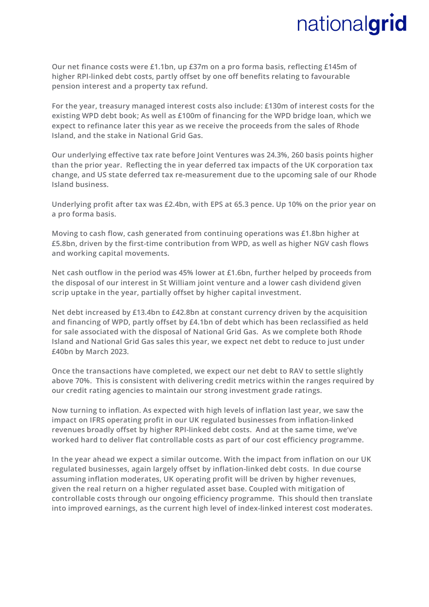**Our net finance costs were £1.1bn, up £37m on a pro forma basis, reflecting £145m of higher RPI-linked debt costs, partly offset by one off benefits relating to favourable pension interest and a property tax refund.** 

**For the year, treasury managed interest costs also include: £130m of interest costs for the existing WPD debt book; As well as £100m of financing for the WPD bridge loan, which we expect to refinance later this year as we receive the proceeds from the sales of Rhode Island, and the stake in National Grid Gas.** 

**Our underlying effective tax rate before Joint Ventures was 24.3%, 260 basis points higher than the prior year. Reflecting the in year deferred tax impacts of the UK corporation tax change, and US state deferred tax re-measurement due to the upcoming sale of our Rhode Island business.** 

**Underlying profit after tax was £2.4bn, with EPS at 65.3 pence. Up 10% on the prior year on a pro forma basis.** 

**Moving to cash flow, cash generated from continuing operations was £1.8bn higher at £5.8bn, driven by the first-time contribution from WPD, as well as higher NGV cash flows and working capital movements.** 

**Net cash outflow in the period was 45% lower at £1.6bn, further helped by proceeds from the disposal of our interest in St William joint venture and a lower cash dividend given scrip uptake in the year, partially offset by higher capital investment.** 

**Net debt increased by £13.4bn to £42.8bn at constant currency driven by the acquisition and financing of WPD, partly offset by £4.1bn of debt which has been reclassified as held for sale associated with the disposal of National Grid Gas. As we complete both Rhode Island and National Grid Gas sales this year, we expect net debt to reduce to just under £40bn by March 2023.** 

**Once the transactions have completed, we expect our net debt to RAV to settle slightly above 70%. This is consistent with delivering credit metrics within the ranges required by our credit rating agencies to maintain our strong investment grade ratings.** 

**Now turning to inflation. As expected with high levels of inflation last year, we saw the impact on IFRS operating profit in our UK regulated businesses from inflation-linked revenues broadly offset by higher RPI-linked debt costs. And at the same time, we've worked hard to deliver flat controllable costs as part of our cost efficiency programme.** 

**In the year ahead we expect a similar outcome. With the impact from inflation on our UK regulated businesses, again largely offset by inflation-linked debt costs. In due course assuming inflation moderates, UK operating profit will be driven by higher revenues, given the real return on a higher regulated asset base. Coupled with mitigation of controllable costs through our ongoing efficiency programme. This should then translate into improved earnings, as the current high level of index-linked interest cost moderates.**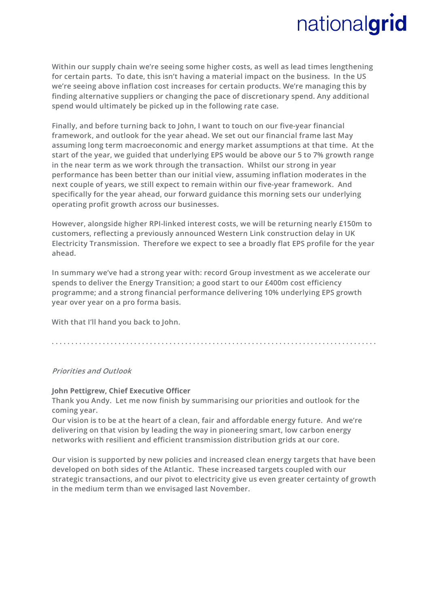**Within our supply chain we're seeing some higher costs, as well as lead times lengthening for certain parts. To date, this isn't having a material impact on the business. In the US we're seeing above inflation cost increases for certain products. We're managing this by finding alternative suppliers or changing the pace of discretionary spend. Any additional spend would ultimately be picked up in the following rate case.**

**Finally, and before turning back to John, I want to touch on our five-year financial framework, and outlook for the year ahead. We set out our financial frame last May assuming long term macroeconomic and energy market assumptions at that time. At the start of the year, we guided that underlying EPS would be above our 5 to 7% growth range in the near term as we work through the transaction. Whilst our strong in year performance has been better than our initial view, assuming inflation moderates in the next couple of years, we still expect to remain within our five-year framework. And specifically for the year ahead, our forward guidance this morning sets our underlying operating profit growth across our businesses.** 

**However, alongside higher RPI-linked interest costs, we will be returning nearly £150m to customers, reflecting a previously announced Western Link construction delay in UK Electricity Transmission. Therefore we expect to see a broadly flat EPS profile for the year ahead.** 

**In summary we've had a strong year with: record Group investment as we accelerate our spends to deliver the Energy Transition; a good start to our £400m cost efficiency programme; and a strong financial performance delivering 10% underlying EPS growth year over year on a pro forma basis.** 

**With that I'll hand you back to John.**

**. . . . . . . . . . . . . . . . . . . . . . . . . . . . . . . . . . . . . . . . . . . . . . . . . . . . . . . . . . . . . . . . . . . . . . . . . . . . . . . . . . .** 

#### **Priorities and Outlook**

#### **John Pettigrew, Chief Executive Officer**

**Thank you Andy. Let me now finish by summarising our priorities and outlook for the coming year.** 

**Our vision is to be at the heart of a clean, fair and affordable energy future. And we're delivering on that vision by leading the way in pioneering smart, low carbon energy networks with resilient and efficient transmission distribution grids at our core.** 

**Our vision is supported by new policies and increased clean energy targets that have been developed on both sides of the Atlantic. These increased targets coupled with our strategic transactions, and our pivot to electricity give us even greater certainty of growth in the medium term than we envisaged last November.**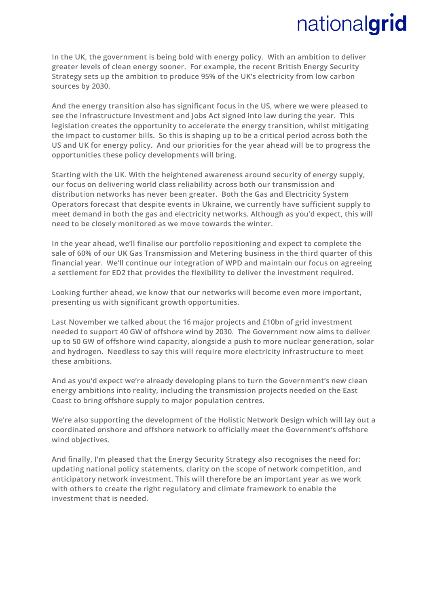**In the UK, the government is being bold with energy policy. With an ambition to deliver greater levels of clean energy sooner. For example, the recent British Energy Security Strategy sets up the ambition to produce 95% of the UK's electricity from low carbon sources by 2030.** 

**And the energy transition also has significant focus in the US, where we were pleased to see the Infrastructure Investment and Jobs Act signed into law during the year. This legislation creates the opportunity to accelerate the energy transition, whilst mitigating the impact to customer bills. So this is shaping up to be a critical period across both the US and UK for energy policy. And our priorities for the year ahead will be to progress the opportunities these policy developments will bring.** 

**Starting with the UK. With the heightened awareness around security of energy supply, our focus on delivering world class reliability across both our transmission and distribution networks has never been greater. Both the Gas and Electricity System Operators forecast that despite events in Ukraine, we currently have sufficient supply to meet demand in both the gas and electricity networks. Although as you'd expect, this will need to be closely monitored as we move towards the winter.**

**In the year ahead, we'll finalise our portfolio repositioning and expect to complete the sale of 60% of our UK Gas Transmission and Metering business in the third quarter of this financial year. We'll continue our integration of WPD and maintain our focus on agreeing a settlement for ED2 that provides the flexibility to deliver the investment required.** 

**Looking further ahead, we know that our networks will become even more important, presenting us with significant growth opportunities.** 

**Last November we talked about the 16 major projects and £10bn of grid investment needed to support 40 GW of offshore wind by 2030. The Government now aims to deliver up to 50 GW of offshore wind capacity, alongside a push to more nuclear generation, solar and hydrogen. Needless to say this will require more electricity infrastructure to meet these ambitions.** 

**And as you'd expect we're already developing plans to turn the Government's new clean energy ambitions into reality, including the transmission projects needed on the East Coast to bring offshore supply to major population centres.** 

**We're also supporting the development of the Holistic Network Design which will lay out a coordinated onshore and offshore network to officially meet the Government's offshore wind objectives.** 

**And finally, I'm pleased that the Energy Security Strategy also recognises the need for: updating national policy statements, clarity on the scope of network competition, and anticipatory network investment. This will therefore be an important year as we work with others to create the right regulatory and climate framework to enable the investment that is needed.**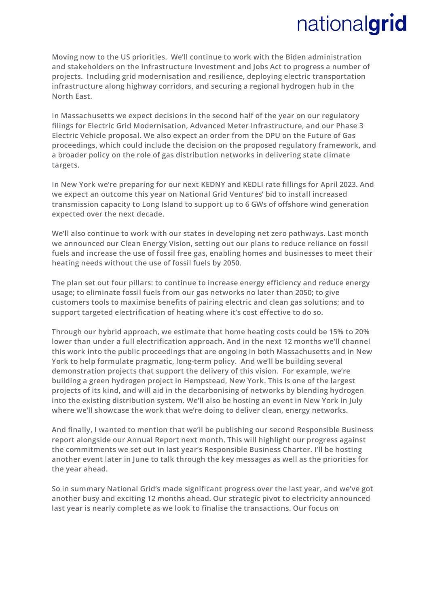**Moving now to the US priorities. We'll continue to work with the Biden administration and stakeholders on the Infrastructure Investment and Jobs Act to progress a number of projects. Including grid modernisation and resilience, deploying electric transportation infrastructure along highway corridors, and securing a regional hydrogen hub in the North East.** 

**In Massachusetts we expect decisions in the second half of the year on our regulatory filings for Electric Grid Modernisation, Advanced Meter Infrastructure, and our Phase 3 Electric Vehicle proposal. We also expect an order from the DPU on the Future of Gas proceedings, which could include the decision on the proposed regulatory framework, and a broader policy on the role of gas distribution networks in delivering state climate targets.** 

**In New York we're preparing for our next KEDNY and KEDLI rate fillings for April 2023. And we expect an outcome this year on National Grid Ventures' bid to install increased transmission capacity to Long Island to support up to 6 GWs of offshore wind generation expected over the next decade.** 

**We'll also continue to work with our states in developing net zero pathways. Last month we announced our Clean Energy Vision, setting out our plans to reduce reliance on fossil fuels and increase the use of fossil free gas, enabling homes and businesses to meet their heating needs without the use of fossil fuels by 2050.** 

**The plan set out four pillars: to continue to increase energy efficiency and reduce energy usage; to eliminate fossil fuels from our gas networks no later than 2050; to give customers tools to maximise benefits of pairing electric and clean gas solutions; and to support targeted electrification of heating where it's cost effective to do so.**

**Through our hybrid approach, we estimate that home heating costs could be 15% to 20% lower than under a full electrification approach. And in the next 12 months we'll channel this work into the public proceedings that are ongoing in both Massachusetts and in New York to help formulate pragmatic, long-term policy. And we'll be building several demonstration projects that support the delivery of this vision. For example, we're building a green hydrogen project in Hempstead, New York. This is one of the largest projects of its kind, and will aid in the decarbonising of networks by blending hydrogen into the existing distribution system. We'll also be hosting an event in New York in July where we'll showcase the work that we're doing to deliver clean, energy networks.** 

**And finally, I wanted to mention that we'll be publishing our second Responsible Business report alongside our Annual Report next month. This will highlight our progress against the commitments we set out in last year's Responsible Business Charter. I'll be hosting another event later in June to talk through the key messages as well as the priorities for the year ahead.** 

**So in summary National Grid's made significant progress over the last year, and we've got another busy and exciting 12 months ahead. Our strategic pivot to electricity announced last year is nearly complete as we look to finalise the transactions. Our focus on**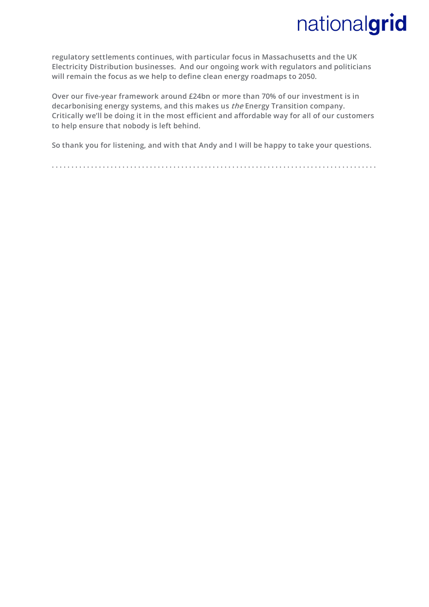**regulatory settlements continues, with particular focus in Massachusetts and the UK Electricity Distribution businesses. And our ongoing work with regulators and politicians will remain the focus as we help to define clean energy roadmaps to 2050.** 

**Over our five-year framework around £24bn or more than 70% of our investment is in decarbonising energy systems, and this makes us the Energy Transition company. Critically we'll be doing it in the most efficient and affordable way for all of our customers to help ensure that nobody is left behind.**

**So thank you for listening, and with that Andy and I will be happy to take your questions.**

**. . . . . . . . . . . . . . . . . . . . . . . . . . . . . . . . . . . . . . . . . . . . . . . . . . . . . . . . . . . . . . . . . . . . . . . . . . . . . . . . . . .**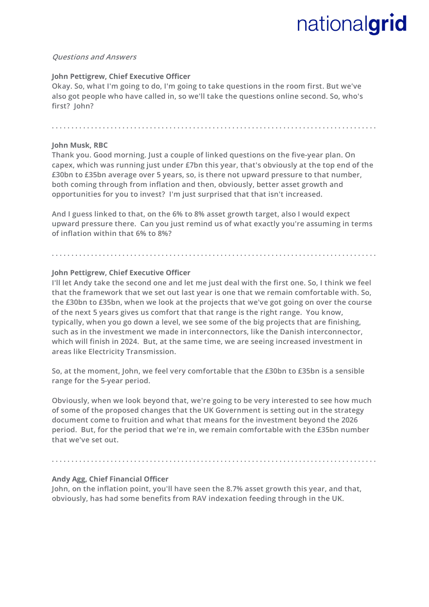#### **Questions and Answers**

#### **John Pettigrew, Chief Executive Officer**

**Okay. So, what I'm going to do, I'm going to take questions in the room first. But we've also got people who have called in, so we'll take the questions online second. So, who's first? John?** 

#### **John Musk, RBC**

**Thank you. Good morning. Just a couple of linked questions on the five-year plan. On capex, which was running just under £7bn this year, that's obviously at the top end of the £30bn to £35bn average over 5 years, so, is there not upward pressure to that number, both coming through from inflation and then, obviously, better asset growth and opportunities for you to invest? I'm just surprised that that isn't increased.**

**. . . . . . . . . . . . . . . . . . . . . . . . . . . . . . . . . . . . . . . . . . . . . . . . . . . . . . . . . . . . . . . . . . . . . . . . . . . . . . . . . . .** 

**And I guess linked to that, on the 6% to 8% asset growth target, also I would expect upward pressure there. Can you just remind us of what exactly you're assuming in terms of inflation within that 6% to 8%?**

**. . . . . . . . . . . . . . . . . . . . . . . . . . . . . . . . . . . . . . . . . . . . . . . . . . . . . . . . . . . . . . . . . . . . . . . . . . . . . . . . . . .** 

#### **John Pettigrew, Chief Executive Officer**

**I'll let Andy take the second one and let me just deal with the first one. So, I think we feel that the framework that we set out last year is one that we remain comfortable with. So, the £30bn to £35bn, when we look at the projects that we've got going on over the course of the next 5 years gives us comfort that that range is the right range. You know, typically, when you go down a level, we see some of the big projects that are finishing, such as in the investment we made in interconnectors, like the Danish interconnector, which will finish in 2024. But, at the same time, we are seeing increased investment in areas like Electricity Transmission.** 

**So, at the moment, John, we feel very comfortable that the £30bn to £35bn is a sensible range for the 5-year period.** 

**Obviously, when we look beyond that, we're going to be very interested to see how much of some of the proposed changes that the UK Government is setting out in the strategy document come to fruition and what that means for the investment beyond the 2026 period. But, for the period that we're in, we remain comfortable with the £35bn number that we've set out.**

#### **. . . . . . . . . . . . . . . . . . . . . . . . . . . . . . . . . . . . . . . . . . . . . . . . . . . . . . . . . . . . . . . . . . . . . . . . . . . . . . . . . . .**

#### **Andy Agg, Chief Financial Officer**

**John, on the inflation point, you'll have seen the 8.7% asset growth this year, and that, obviously, has had some benefits from RAV indexation feeding through in the UK.**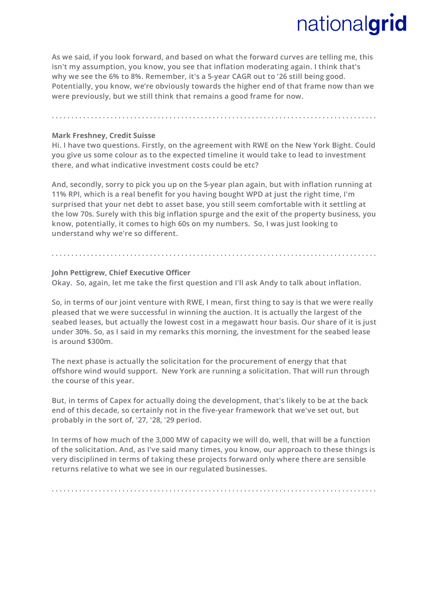**As we said, if you look forward, and based on what the forward curves are telling me, this isn't my assumption, you know, you see that inflation moderating again. I think that's why we see the 6% to 8%. Remember, it's a 5-year CAGR out to '26 still being good. Potentially, you know, we're obviously towards the higher end of that frame now than we were previously, but we still think that remains a good frame for now.**

### **Mark Freshney, Credit Suisse**

**Hi. I have two questions. Firstly, on the agreement with RWE on the New York Bight. Could you give us some colour as to the expected timeline it would take to lead to investment there, and what indicative investment costs could be etc?** 

**. . . . . . . . . . . . . . . . . . . . . . . . . . . . . . . . . . . . . . . . . . . . . . . . . . . . . . . . . . . . . . . . . . . . . . . . . . . . . . . . . . .** 

**And, secondly, sorry to pick you up on the 5-year plan again, but with inflation running at 11% RPI, which is a real benefit for you having bought WPD at just the right time, I'm surprised that your net debt to asset base, you still seem comfortable with it settling at the low 70s. Surely with this big inflation spurge and the exit of the property business, you know, potentially, it comes to high 60s on my numbers. So, I was just looking to understand why we're so different.**

**. . . . . . . . . . . . . . . . . . . . . . . . . . . . . . . . . . . . . . . . . . . . . . . . . . . . . . . . . . . . . . . . . . . . . . . . . . . . . . . . . . .** 

### **John Pettigrew, Chief Executive Officer**

**Okay. So, again, let me take the first question and I'll ask Andy to talk about inflation.** 

**So, in terms of our joint venture with RWE, I mean, first thing to say is that we were really pleased that we were successful in winning the auction. It is actually the largest of the seabed leases, but actually the lowest cost in a megawatt hour basis. Our share of it is just under 30%. So, as I said in my remarks this morning, the investment for the seabed lease is around \$300m.** 

**The next phase is actually the solicitation for the procurement of energy that that offshore wind would support. New York are running a solicitation. That will run through the course of this year.**

**But, in terms of Capex for actually doing the development, that's likely to be at the back end of this decade, so certainly not in the five-year framework that we've set out, but probably in the sort of, '27, '28, '29 period.**

**In terms of how much of the 3,000 MW of capacity we will do, well, that will be a function of the solicitation. And, as I've said many times, you know, our approach to these things is very disciplined in terms of taking these projects forward only where there are sensible returns relative to what we see in our regulated businesses.**

**. . . . . . . . . . . . . . . . . . . . . . . . . . . . . . . . . . . . . . . . . . . . . . . . . . . . . . . . . . . . . . . . . . . . . . . . . . . . . . . . . . .**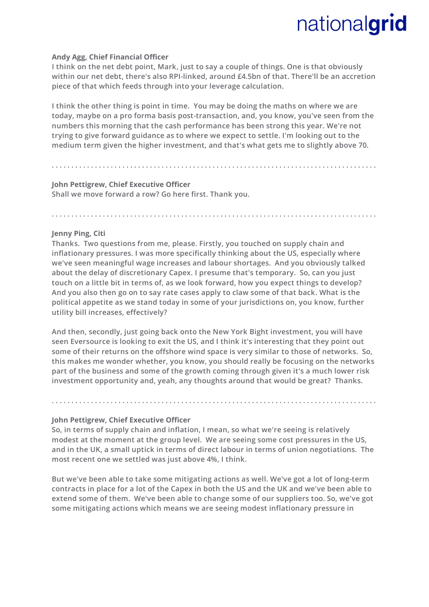#### **Andy Agg, Chief Financial Officer**

**I think on the net debt point, Mark, just to say a couple of things. One is that obviously within our net debt, there's also RPI-linked, around £4.5bn of that. There'll be an accretion piece of that which feeds through into your leverage calculation.**

**I think the other thing is point in time. You may be doing the maths on where we are today, maybe on a pro forma basis post-transaction, and, you know, you've seen from the numbers this morning that the cash performance has been strong this year. We're not trying to give forward guidance as to where we expect to settle. I'm looking out to the medium term given the higher investment, and that's what gets me to slightly above 70.**

**. . . . . . . . . . . . . . . . . . . . . . . . . . . . . . . . . . . . . . . . . . . . . . . . . . . . . . . . . . . . . . . . . . . . . . . . . . . . . . . . . . .** 

**. . . . . . . . . . . . . . . . . . . . . . . . . . . . . . . . . . . . . . . . . . . . . . . . . . . . . . . . . . . . . . . . . . . . . . . . . . . . . . . . . . .** 

### **John Pettigrew, Chief Executive Officer Shall we move forward a row? Go here first. Thank you.**

#### **Jenny Ping, Citi**

**Thanks. Two questions from me, please. Firstly, you touched on supply chain and inflationary pressures. I was more specifically thinking about the US, especially where we've seen meaningful wage increases and labour shortages. And you obviously talked about the delay of discretionary Capex. I presume that's temporary. So, can you just touch on a little bit in terms of, as we look forward, how you expect things to develop? And you also then go on to say rate cases apply to claw some of that back. What is the political appetite as we stand today in some of your jurisdictions on, you know, further utility bill increases, effectively?** 

**And then, secondly, just going back onto the New York Bight investment, you will have seen Eversource is looking to exit the US, and I think it's interesting that they point out some of their returns on the offshore wind space is very similar to those of networks. So, this makes me wonder whether, you know, you should really be focusing on the networks part of the business and some of the growth coming through given it's a much lower risk investment opportunity and, yeah, any thoughts around that would be great? Thanks.**

**. . . . . . . . . . . . . . . . . . . . . . . . . . . . . . . . . . . . . . . . . . . . . . . . . . . . . . . . . . . . . . . . . . . . . . . . . . . . . . . . . . .** 

#### **John Pettigrew, Chief Executive Officer**

**So, in terms of supply chain and inflation, I mean, so what we're seeing is relatively modest at the moment at the group level. We are seeing some cost pressures in the US, and in the UK, a small uptick in terms of direct labour in terms of union negotiations. The most recent one we settled was just above 4%, I think.** 

**But we've been able to take some mitigating actions as well. We've got a lot of long-term contracts in place for a lot of the Capex in both the US and the UK and we've been able to extend some of them. We've been able to change some of our suppliers too. So, we've got some mitigating actions which means we are seeing modest inflationary pressure in**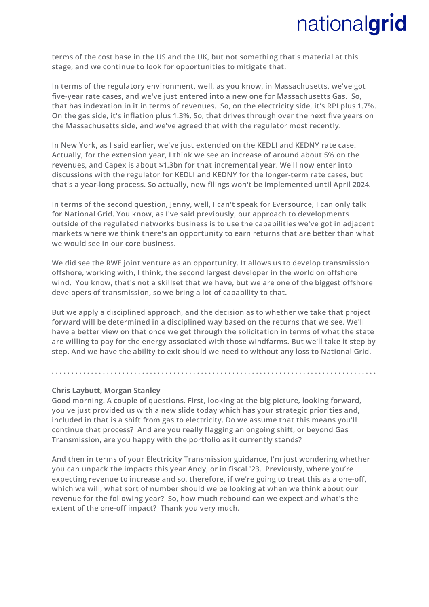**terms of the cost base in the US and the UK, but not something that's material at this stage, and we continue to look for opportunities to mitigate that.**

**In terms of the regulatory environment, well, as you know, in Massachusetts, we've got five-year rate cases, and we've just entered into a new one for Massachusetts Gas. So, that has indexation in it in terms of revenues. So, on the electricity side, it's RPI plus 1.7%. On the gas side, it's inflation plus 1.3%. So, that drives through over the next five years on the Massachusetts side, and we've agreed that with the regulator most recently.**

**In New York, as I said earlier, we've just extended on the KEDLI and KEDNY rate case. Actually, for the extension year, I think we see an increase of around about 5% on the revenues, and Capex is about \$1.3bn for that incremental year. We'll now enter into discussions with the regulator for KEDLI and KEDNY for the longer-term rate cases, but that's a year-long process. So actually, new filings won't be implemented until April 2024.** 

**In terms of the second question, Jenny, well, I can't speak for Eversource, I can only talk for National Grid. You know, as I've said previously, our approach to developments outside of the regulated networks business is to use the capabilities we've got in adjacent markets where we think there's an opportunity to earn returns that are better than what we would see in our core business.** 

**We did see the RWE joint venture as an opportunity. It allows us to develop transmission offshore, working with, I think, the second largest developer in the world on offshore wind. You know, that's not a skillset that we have, but we are one of the biggest offshore developers of transmission, so we bring a lot of capability to that.** 

**But we apply a disciplined approach, and the decision as to whether we take that project forward will be determined in a disciplined way based on the returns that we see. We'll have a better view on that once we get through the solicitation in terms of what the state are willing to pay for the energy associated with those windfarms. But we'll take it step by step. And we have the ability to exit should we need to without any loss to National Grid.**

**. . . . . . . . . . . . . . . . . . . . . . . . . . . . . . . . . . . . . . . . . . . . . . . . . . . . . . . . . . . . . . . . . . . . . . . . . . . . . . . . . . .** 

#### **Chris Laybutt, Morgan Stanley**

**Good morning. A couple of questions. First, looking at the big picture, looking forward, you've just provided us with a new slide today which has your strategic priorities and, included in that is a shift from gas to electricity. Do we assume that this means you'll continue that process? And are you really flagging an ongoing shift, or beyond Gas Transmission, are you happy with the portfolio as it currently stands?** 

**And then in terms of your Electricity Transmission guidance, I'm just wondering whether you can unpack the impacts this year Andy, or in fiscal '23. Previously, where you're expecting revenue to increase and so, therefore, if we're going to treat this as a one-off, which we will, what sort of number should we be looking at when we think about our revenue for the following year? So, how much rebound can we expect and what's the extent of the one-off impact? Thank you very much.**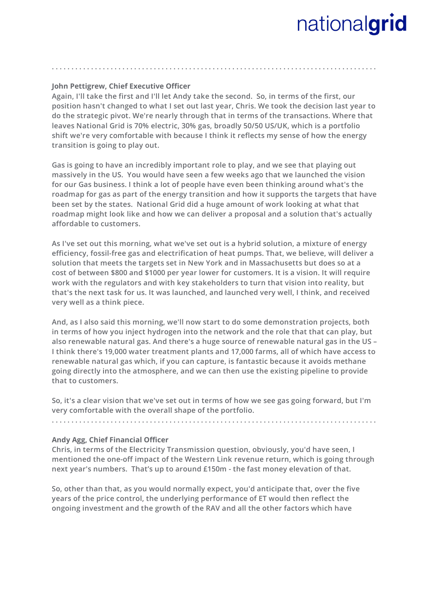#### **John Pettigrew, Chief Executive Officer**

**Again, I'll take the first and I'll let Andy take the second. So, in terms of the first, our position hasn't changed to what I set out last year, Chris. We took the decision last year to do the strategic pivot. We're nearly through that in terms of the transactions. Where that leaves National Grid is 70% electric, 30% gas, broadly 50/50 US/UK, which is a portfolio shift we're very comfortable with because I think it reflects my sense of how the energy transition is going to play out.** 

**. . . . . . . . . . . . . . . . . . . . . . . . . . . . . . . . . . . . . . . . . . . . . . . . . . . . . . . . . . . . . . . . . . . . . . . . . . . . . . . . . . .** 

**Gas is going to have an incredibly important role to play, and we see that playing out massively in the US. You would have seen a few weeks ago that we launched the vision for our Gas business. I think a lot of people have even been thinking around what's the roadmap for gas as part of the energy transition and how it supports the targets that have been set by the states. National Grid did a huge amount of work looking at what that roadmap might look like and how we can deliver a proposal and a solution that's actually affordable to customers.** 

**As I've set out this morning, what we've set out is a hybrid solution, a mixture of energy efficiency, fossil-free gas and electrification of heat pumps. That, we believe, will deliver a solution that meets the targets set in New York and in Massachusetts but does so at a cost of between \$800 and \$1000 per year lower for customers. It is a vision. It will require work with the regulators and with key stakeholders to turn that vision into reality, but that's the next task for us. It was launched, and launched very well, I think, and received very well as a think piece.** 

**And, as I also said this morning, we'll now start to do some demonstration projects, both in terms of how you inject hydrogen into the network and the role that that can play, but also renewable natural gas. And there's a huge source of renewable natural gas in the US – I think there's 19,000 water treatment plants and 17,000 farms, all of which have access to renewable natural gas which, if you can capture, is fantastic because it avoids methane going directly into the atmosphere, and we can then use the existing pipeline to provide that to customers.**

**So, it's a clear vision that we've set out in terms of how we see gas going forward, but I'm very comfortable with the overall shape of the portfolio.**

**. . . . . . . . . . . . . . . . . . . . . . . . . . . . . . . . . . . . . . . . . . . . . . . . . . . . . . . . . . . . . . . . . . . . . . . . . . . . . . . . . . .** 

#### **Andy Agg, Chief Financial Officer**

**Chris, in terms of the Electricity Transmission question, obviously, you'd have seen, I mentioned the one-off impact of the Western Link revenue return, which is going through next year's numbers. That's up to around £150m - the fast money elevation of that.** 

**So, other than that, as you would normally expect, you'd anticipate that, over the five years of the price control, the underlying performance of ET would then reflect the ongoing investment and the growth of the RAV and all the other factors which have**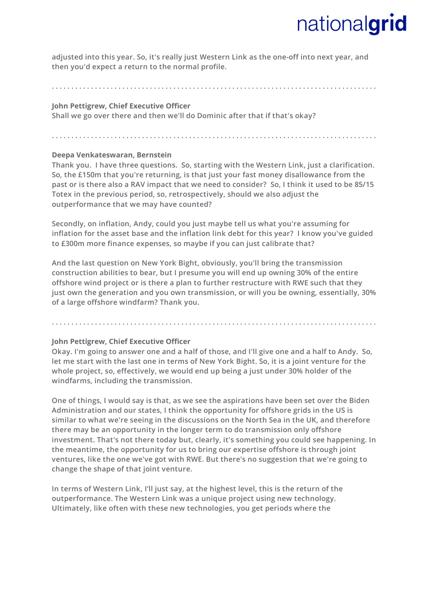**adjusted into this year. So, it's really just Western Link as the one-off into next year, and then you'd expect a return to the normal profile.**

**. . . . . . . . . . . . . . . . . . . . . . . . . . . . . . . . . . . . . . . . . . . . . . . . . . . . . . . . . . . . . . . . . . . . . . . . . . . . . . . . . . .** 

#### **John Pettigrew, Chief Executive Officer**

**Shall we go over there and then we'll do Dominic after that if that's okay?** 

**. . . . . . . . . . . . . . . . . . . . . . . . . . . . . . . . . . . . . . . . . . . . . . . . . . . . . . . . . . . . . . . . . . . . . . . . . . . . . . . . . . .** 

#### **Deepa Venkateswaran, Bernstein**

**Thank you. I have three questions. So, starting with the Western Link, just a clarification. So, the £150m that you're returning, is that just your fast money disallowance from the past or is there also a RAV impact that we need to consider? So, I think it used to be 85/15 Totex in the previous period, so, retrospectively, should we also adjust the outperformance that we may have counted?**

**Secondly, on inflation, Andy, could you just maybe tell us what you're assuming for inflation for the asset base and the inflation link debt for this year? I know you've guided to £300m more finance expenses, so maybe if you can just calibrate that?**

**And the last question on New York Bight, obviously, you'll bring the transmission construction abilities to bear, but I presume you will end up owning 30% of the entire offshore wind project or is there a plan to further restructure with RWE such that they just own the generation and you own transmission, or will you be owning, essentially, 30% of a large offshore windfarm? Thank you.** 

**. . . . . . . . . . . . . . . . . . . . . . . . . . . . . . . . . . . . . . . . . . . . . . . . . . . . . . . . . . . . . . . . . . . . . . . . . . . . . . . . . . .** 

#### **John Pettigrew, Chief Executive Officer**

**Okay. I'm going to answer one and a half of those, and I'll give one and a half to Andy. So, let me start with the last one in terms of New York Bight. So, it is a joint venture for the whole project, so, effectively, we would end up being a just under 30% holder of the windfarms, including the transmission.** 

**One of things, I would say is that, as we see the aspirations have been set over the Biden Administration and our states, I think the opportunity for offshore grids in the US is similar to what we're seeing in the discussions on the North Sea in the UK, and therefore there may be an opportunity in the longer term to do transmission only offshore investment. That's not there today but, clearly, it's something you could see happening. In the meantime, the opportunity for us to bring our expertise offshore is through joint ventures, like the one we've got with RWE. But there's no suggestion that we're going to change the shape of that joint venture.**

**In terms of Western Link, I'll just say, at the highest level, this is the return of the outperformance. The Western Link was a unique project using new technology. Ultimately, like often with these new technologies, you get periods where the**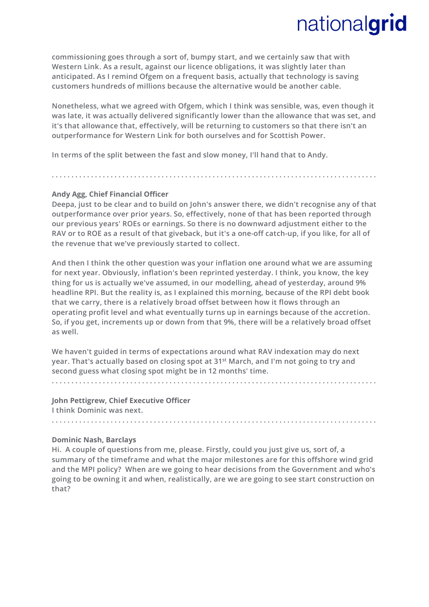**commissioning goes through a sort of, bumpy start, and we certainly saw that with Western Link. As a result, against our licence obligations, it was slightly later than anticipated. As I remind Ofgem on a frequent basis, actually that technology is saving customers hundreds of millions because the alternative would be another cable.** 

**Nonetheless, what we agreed with Ofgem, which I think was sensible, was, even though it was late, it was actually delivered significantly lower than the allowance that was set, and it's that allowance that, effectively, will be returning to customers so that there isn't an outperformance for Western Link for both ourselves and for Scottish Power.** 

**In terms of the split between the fast and slow money, I'll hand that to Andy.**

#### **Andy Agg, Chief Financial Officer**

**Deepa, just to be clear and to build on John's answer there, we didn't recognise any of that outperformance over prior years. So, effectively, none of that has been reported through our previous years' ROEs or earnings. So there is no downward adjustment either to the RAV or to ROE as a result of that giveback, but it's a one-off catch-up, if you like, for all of the revenue that we've previously started to collect.**

**. . . . . . . . . . . . . . . . . . . . . . . . . . . . . . . . . . . . . . . . . . . . . . . . . . . . . . . . . . . . . . . . . . . . . . . . . . . . . . . . . . .** 

**And then I think the other question was your inflation one around what we are assuming for next year. Obviously, inflation's been reprinted yesterday. I think, you know, the key thing for us is actually we've assumed, in our modelling, ahead of yesterday, around 9% headline RPI. But the reality is, as I explained this morning, because of the RPI debt book that we carry, there is a relatively broad offset between how it flows through an operating profit level and what eventually turns up in earnings because of the accretion. So, if you get, increments up or down from that 9%, there will be a relatively broad offset as well.**

**We haven't guided in terms of expectations around what RAV indexation may do next year. That's actually based on closing spot at 31st March, and I'm not going to try and second guess what closing spot might be in 12 months' time.**

**. . . . . . . . . . . . . . . . . . . . . . . . . . . . . . . . . . . . . . . . . . . . . . . . . . . . . . . . . . . . . . . . . . . . . . . . . . . . . . . . . . .** 

#### **John Pettigrew, Chief Executive Officer**

**I think Dominic was next.** 

**. . . . . . . . . . . . . . . . . . . . . . . . . . . . . . . . . . . . . . . . . . . . . . . . . . . . . . . . . . . . . . . . . . . . . . . . . . . . . . . . . . .** 

#### **Dominic Nash, Barclays**

**Hi. A couple of questions from me, please. Firstly, could you just give us, sort of, a summary of the timeframe and what the major milestones are for this offshore wind grid and the MPI policy? When are we going to hear decisions from the Government and who's going to be owning it and when, realistically, are we are going to see start construction on that?**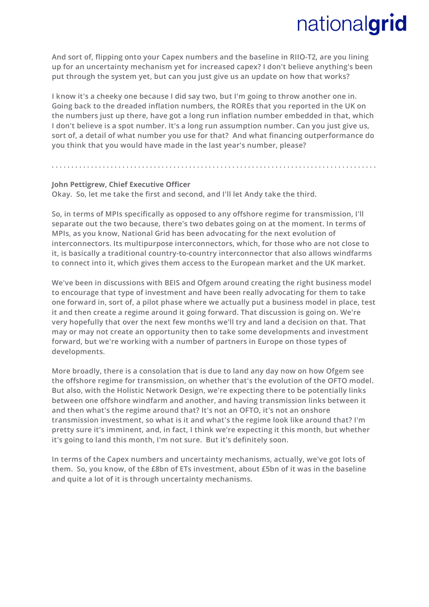**And sort of, flipping onto your Capex numbers and the baseline in RIIO-T2, are you lining up for an uncertainty mechanism yet for increased capex? I don't believe anything's been put through the system yet, but can you just give us an update on how that works?** 

**I know it's a cheeky one because I did say two, but I'm going to throw another one in. Going back to the dreaded inflation numbers, the ROREs that you reported in the UK on the numbers just up there, have got a long run inflation number embedded in that, which I don't believe is a spot number. It's a long run assumption number. Can you just give us, sort of, a detail of what number you use for that? And what financing outperformance do you think that you would have made in the last year's number, please?**

**. . . . . . . . . . . . . . . . . . . . . . . . . . . . . . . . . . . . . . . . . . . . . . . . . . . . . . . . . . . . . . . . . . . . . . . . . . . . . . . . . . .** 

#### **John Pettigrew, Chief Executive Officer**

**Okay. So, let me take the first and second, and I'll let Andy take the third.**

**So, in terms of MPIs specifically as opposed to any offshore regime for transmission, I'll separate out the two because, there's two debates going on at the moment. In terms of MPIs, as you know, National Grid has been advocating for the next evolution of interconnectors. Its multipurpose interconnectors, which, for those who are not close to it, is basically a traditional country-to-country interconnector that also allows windfarms to connect into it, which gives them access to the European market and the UK market.** 

**We've been in discussions with BEIS and Ofgem around creating the right business model to encourage that type of investment and have been really advocating for them to take one forward in, sort of, a pilot phase where we actually put a business model in place, test it and then create a regime around it going forward. That discussion is going on. We're very hopefully that over the next few months we'll try and land a decision on that. That may or may not create an opportunity then to take some developments and investment forward, but we're working with a number of partners in Europe on those types of developments.**

**More broadly, there is a consolation that is due to land any day now on how Ofgem see the offshore regime for transmission, on whether that's the evolution of the OFTO model. But also, with the Holistic Network Design, we're expecting there to be potentially links between one offshore windfarm and another, and having transmission links between it and then what's the regime around that? It's not an OFTO, it's not an onshore transmission investment, so what is it and what's the regime look like around that? I'm pretty sure it's imminent, and, in fact, I think we're expecting it this month, but whether it's going to land this month, I'm not sure. But it's definitely soon.** 

**In terms of the Capex numbers and uncertainty mechanisms, actually, we've got lots of them. So, you know, of the £8bn of ETs investment, about £5bn of it was in the baseline and quite a lot of it is through uncertainty mechanisms.**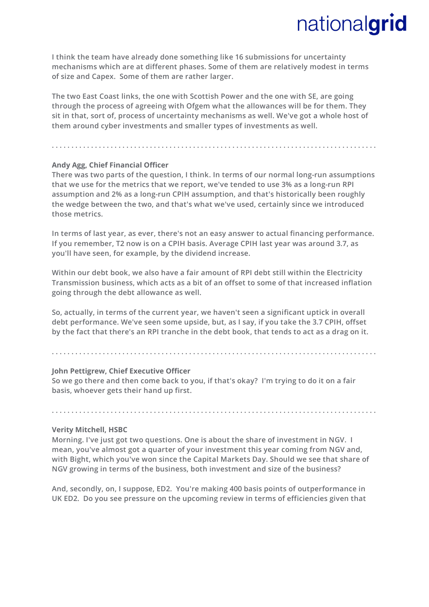**I think the team have already done something like 16 submissions for uncertainty mechanisms which are at different phases. Some of them are relatively modest in terms of size and Capex. Some of them are rather larger.** 

**The two East Coast links, the one with Scottish Power and the one with SE, are going through the process of agreeing with Ofgem what the allowances will be for them. They sit in that, sort of, process of uncertainty mechanisms as well. We've got a whole host of them around cyber investments and smaller types of investments as well.**

#### **. . . . . . . . . . . . . . . . . . . . . . . . . . . . . . . . . . . . . . . . . . . . . . . . . . . . . . . . . . . . . . . . . . . . . . . . . . . . . . . . . . .**

#### **Andy Agg, Chief Financial Officer**

**There was two parts of the question, I think. In terms of our normal long-run assumptions that we use for the metrics that we report, we've tended to use 3% as a long-run RPI assumption and 2% as a long-run CPIH assumption, and that's historically been roughly the wedge between the two, and that's what we've used, certainly since we introduced those metrics.**

**In terms of last year, as ever, there's not an easy answer to actual financing performance. If you remember, T2 now is on a CPIH basis. Average CPIH last year was around 3.7, as you'll have seen, for example, by the dividend increase.** 

**Within our debt book, we also have a fair amount of RPI debt still within the Electricity Transmission business, which acts as a bit of an offset to some of that increased inflation going through the debt allowance as well.** 

**So, actually, in terms of the current year, we haven't seen a significant uptick in overall debt performance. We've seen some upside, but, as I say, if you take the 3.7 CPIH, offset by the fact that there's an RPI tranche in the debt book, that tends to act as a drag on it.**

**. . . . . . . . . . . . . . . . . . . . . . . . . . . . . . . . . . . . . . . . . . . . . . . . . . . . . . . . . . . . . . . . . . . . . . . . . . . . . . . . . . .** 

#### **John Pettigrew, Chief Executive Officer**

**So we go there and then come back to you, if that's okay? I'm trying to do it on a fair basis, whoever gets their hand up first.** 

#### **Verity Mitchell, HSBC**

**Morning. I've just got two questions. One is about the share of investment in NGV. I mean, you've almost got a quarter of your investment this year coming from NGV and, with Bight, which you've won since the Capital Markets Day. Should we see that share of NGV growing in terms of the business, both investment and size of the business?** 

**. . . . . . . . . . . . . . . . . . . . . . . . . . . . . . . . . . . . . . . . . . . . . . . . . . . . . . . . . . . . . . . . . . . . . . . . . . . . . . . . . . .** 

**And, secondly, on, I suppose, ED2. You're making 400 basis points of outperformance in UK ED2. Do you see pressure on the upcoming review in terms of efficiencies given that**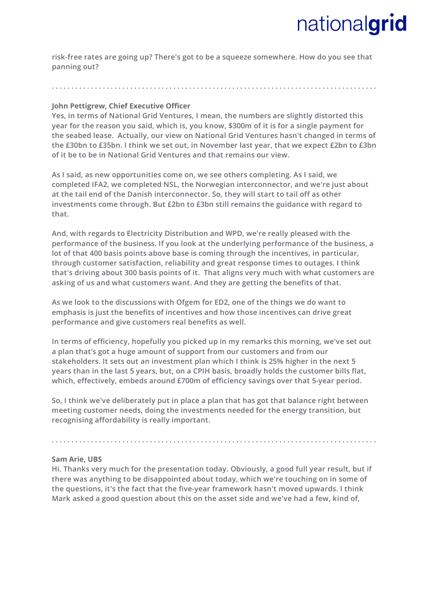**risk-free rates are going up? There's got to be a squeeze somewhere. How do you see that panning out?**

### **. . . . . . . . . . . . . . . . . . . . . . . . . . . . . . . . . . . . . . . . . . . . . . . . . . . . . . . . . . . . . . . . . . . . . . . . . . . . . . . . . . .**

#### **John Pettigrew, Chief Executive Officer**

**Yes, in terms of National Grid Ventures, I mean, the numbers are slightly distorted this year for the reason you said, which is, you know, \$300m of it is for a single payment for the seabed lease. Actually, our view on National Grid Ventures hasn't changed in terms of the £30bn to £35bn. I think we set out, in November last year, that we expect £2bn to £3bn of it be to be in National Grid Ventures and that remains our view.**

**As I said, as new opportunities come on, we see others completing. As I said, we completed IFA2, we completed NSL, the Norwegian interconnector, and we're just about at the tail end of the Danish interconnector. So, they will start to tail off as other investments come through. But £2bn to £3bn still remains the guidance with regard to that.** 

**And, with regards to Electricity Distribution and WPD, we're really pleased with the performance of the business. If you look at the underlying performance of the business, a lot of that 400 basis points above base is coming through the incentives, in particular, through customer satisfaction, reliability and great response times to outages. I think that's driving about 300 basis points of it. That aligns very much with what customers are asking of us and what customers want. And they are getting the benefits of that.** 

**As we look to the discussions with Ofgem for ED2, one of the things we do want to emphasis is just the benefits of incentives and how those incentives can drive great performance and give customers real benefits as well.**

**In terms of efficiency, hopefully you picked up in my remarks this morning, we've set out a plan that's got a huge amount of support from our customers and from our stakeholders. It sets out an investment plan which I think is 25% higher in the next 5 years than in the last 5 years, but, on a CPIH basis, broadly holds the customer bills flat, which, effectively, embeds around £700m of efficiency savings over that 5-year period.** 

**So, I think we've deliberately put in place a plan that has got that balance right between meeting customer needs, doing the investments needed for the energy transition, but recognising affordability is really important.** 

**. . . . . . . . . . . . . . . . . . . . . . . . . . . . . . . . . . . . . . . . . . . . . . . . . . . . . . . . . . . . . . . . . . . . . . . . . . . . . . . . . . .** 

#### **Sam Arie, UBS**

**Hi. Thanks very much for the presentation today. Obviously, a good full year result, but if there was anything to be disappointed about today, which we're touching on in some of the questions, it's the fact that the five-year framework hasn't moved upwards. I think Mark asked a good question about this on the asset side and we've had a few, kind of,**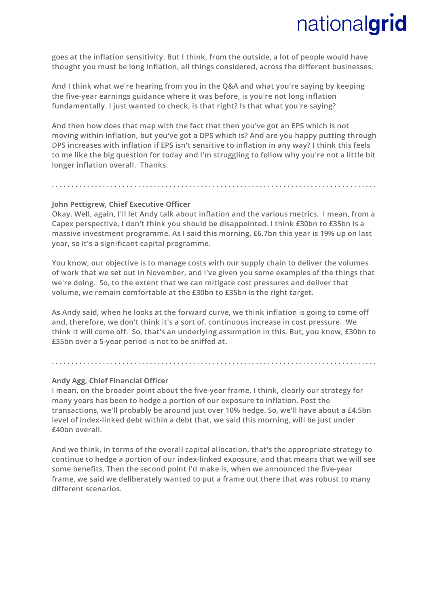**goes at the inflation sensitivity. But I think, from the outside, a lot of people would have thought you must be long inflation, all things considered, across the different businesses.** 

**And I think what we're hearing from you in the Q&A and what you're saying by keeping the five-year earnings guidance where it was before, is you're not long inflation fundamentally. I just wanted to check, is that right? Is that what you're saying?** 

**And then how does that map with the fact that then you've got an EPS which is not moving within inflation, but you've got a DPS which is? And are you happy putting through DPS increases with inflation if EPS isn't sensitive to inflation in any way? I think this feels to me like the big question for today and I'm struggling to follow why you're not a little bit longer inflation overall. Thanks.**

**. . . . . . . . . . . . . . . . . . . . . . . . . . . . . . . . . . . . . . . . . . . . . . . . . . . . . . . . . . . . . . . . . . . . . . . . . . . . . . . . . . .** 

#### **John Pettigrew, Chief Executive Officer**

**Okay. Well, again, I'll let Andy talk about inflation and the various metrics. I mean, from a Capex perspective, I don't think you should be disappointed. I think £30bn to £35bn is a massive investment programme. As I said this morning, £6.7bn this year is 19% up on last year, so it's a significant capital programme.**

**You know, our objective is to manage costs with our supply chain to deliver the volumes of work that we set out in November, and I've given you some examples of the things that we're doing. So, to the extent that we can mitigate cost pressures and deliver that volume, we remain comfortable at the £30bn to £35bn is the right target.** 

**As Andy said, when he looks at the forward curve, we think inflation is going to come off and, therefore, we don't think it's a sort of, continuous increase in cost pressure. We think it will come off. So, that's an underlying assumption in this. But, you know, £30bn to £35bn over a 5-year period is not to be sniffed at.**

**. . . . . . . . . . . . . . . . . . . . . . . . . . . . . . . . . . . . . . . . . . . . . . . . . . . . . . . . . . . . . . . . . . . . . . . . . . . . . . . . . . .** 

#### **Andy Agg, Chief Financial Officer**

**I mean, on the broader point about the five-year frame, I think, clearly our strategy for many years has been to hedge a portion of our exposure to inflation. Post the transactions, we'll probably be around just over 10% hedge. So, we'll have about a £4.5bn level of index-linked debt within a debt that, we said this morning, will be just under £40bn overall.**

**And we think, in terms of the overall capital allocation, that's the appropriate strategy to continue to hedge a portion of our index-linked exposure, and that means that we will see some benefits. Then the second point I'd make is, when we announced the five-year frame, we said we deliberately wanted to put a frame out there that was robust to many different scenarios.**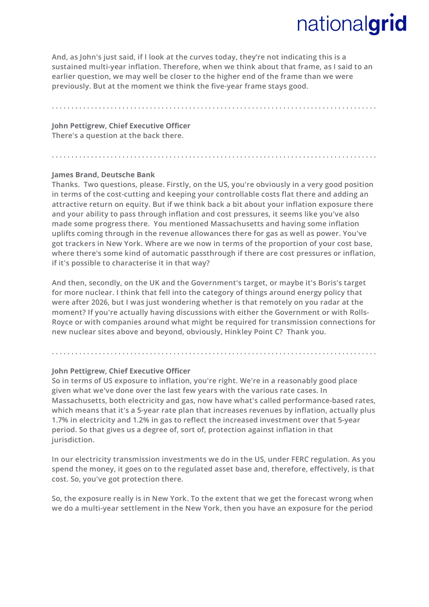**And, as John's just said, if I look at the curves today, they're not indicating this is a sustained multi-year inflation. Therefore, when we think about that frame, as I said to an earlier question, we may well be closer to the higher end of the frame than we were previously. But at the moment we think the five-year frame stays good.**

**. . . . . . . . . . . . . . . . . . . . . . . . . . . . . . . . . . . . . . . . . . . . . . . . . . . . . . . . . . . . . . . . . . . . . . . . . . . . . . . . . . .** 

**. . . . . . . . . . . . . . . . . . . . . . . . . . . . . . . . . . . . . . . . . . . . . . . . . . . . . . . . . . . . . . . . . . . . . . . . . . . . . . . . . . .** 

**John Pettigrew, Chief Executive Officer There's a question at the back there.** 

#### **James Brand, Deutsche Bank**

**Thanks. Two questions, please. Firstly, on the US, you're obviously in a very good position in terms of the cost-cutting and keeping your controllable costs flat there and adding an attractive return on equity. But if we think back a bit about your inflation exposure there and your ability to pass through inflation and cost pressures, it seems like you've also made some progress there. You mentioned Massachusetts and having some inflation uplifts coming through in the revenue allowances there for gas as well as power. You've got trackers in New York. Where are we now in terms of the proportion of your cost base, where there's some kind of automatic passthrough if there are cost pressures or inflation, if it's possible to characterise it in that way?**

**And then, secondly, on the UK and the Government's target, or maybe it's Boris's target for more nuclear. I think that fell into the category of things around energy policy that were after 2026, but I was just wondering whether is that remotely on you radar at the moment? If you're actually having discussions with either the Government or with Rolls-Royce or with companies around what might be required for transmission connections for new nuclear sites above and beyond, obviously, Hinkley Point C? Thank you.** 

**. . . . . . . . . . . . . . . . . . . . . . . . . . . . . . . . . . . . . . . . . . . . . . . . . . . . . . . . . . . . . . . . . . . . . . . . . . . . . . . . . . .** 

#### **John Pettigrew, Chief Executive Officer**

**So in terms of US exposure to inflation, you're right. We're in a reasonably good place given what we've done over the last few years with the various rate cases. In Massachusetts, both electricity and gas, now have what's called performance-based rates, which means that it's a 5-year rate plan that increases revenues by inflation, actually plus 1.7% in electricity and 1.2% in gas to reflect the increased investment over that 5-year period. So that gives us a degree of, sort of, protection against inflation in that jurisdiction.** 

**In our electricity transmission investments we do in the US, under FERC regulation. As you spend the money, it goes on to the regulated asset base and, therefore, effectively, is that cost. So, you've got protection there.** 

**So, the exposure really is in New York. To the extent that we get the forecast wrong when we do a multi-year settlement in the New York, then you have an exposure for the period**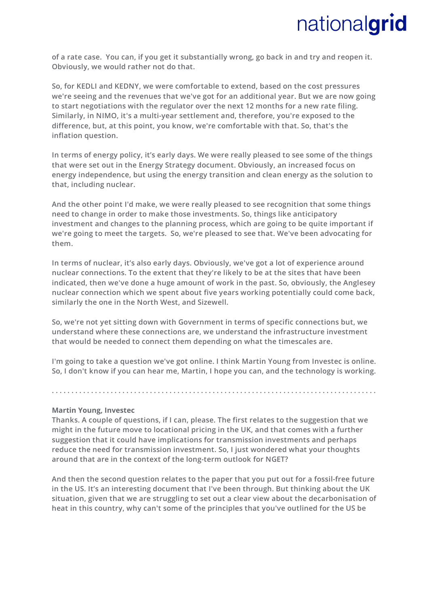**of a rate case. You can, if you get it substantially wrong, go back in and try and reopen it. Obviously, we would rather not do that.** 

**So, for KEDLI and KEDNY, we were comfortable to extend, based on the cost pressures we're seeing and the revenues that we've got for an additional year. But we are now going to start negotiations with the regulator over the next 12 months for a new rate filing. Similarly, in NIMO, it's a multi-year settlement and, therefore, you're exposed to the difference, but, at this point, you know, we're comfortable with that. So, that's the inflation question.**

**In terms of energy policy, it's early days. We were really pleased to see some of the things that were set out in the Energy Strategy document. Obviously, an increased focus on energy independence, but using the energy transition and clean energy as the solution to that, including nuclear.**

**And the other point I'd make, we were really pleased to see recognition that some things need to change in order to make those investments. So, things like anticipatory investment and changes to the planning process, which are going to be quite important if we're going to meet the targets. So, we're pleased to see that. We've been advocating for them.**

**In terms of nuclear, it's also early days. Obviously, we've got a lot of experience around nuclear connections. To the extent that they're likely to be at the sites that have been indicated, then we've done a huge amount of work in the past. So, obviously, the Anglesey nuclear connection which we spent about five years working potentially could come back, similarly the one in the North West, and Sizewell.** 

**So, we're not yet sitting down with Government in terms of specific connections but, we understand where these connections are, we understand the infrastructure investment that would be needed to connect them depending on what the timescales are.**

**I'm going to take a question we've got online. I think Martin Young from Investec is online. So, I don't know if you can hear me, Martin, I hope you can, and the technology is working.** 

**. . . . . . . . . . . . . . . . . . . . . . . . . . . . . . . . . . . . . . . . . . . . . . . . . . . . . . . . . . . . . . . . . . . . . . . . . . . . . . . . . . .** 

#### **Martin Young, Investec**

**Thanks. A couple of questions, if I can, please. The first relates to the suggestion that we might in the future move to locational pricing in the UK, and that comes with a further suggestion that it could have implications for transmission investments and perhaps reduce the need for transmission investment. So, I just wondered what your thoughts around that are in the context of the long-term outlook for NGET?**

**And then the second question relates to the paper that you put out for a fossil-free future in the US. It's an interesting document that I've been through. But thinking about the UK situation, given that we are struggling to set out a clear view about the decarbonisation of heat in this country, why can't some of the principles that you've outlined for the US be**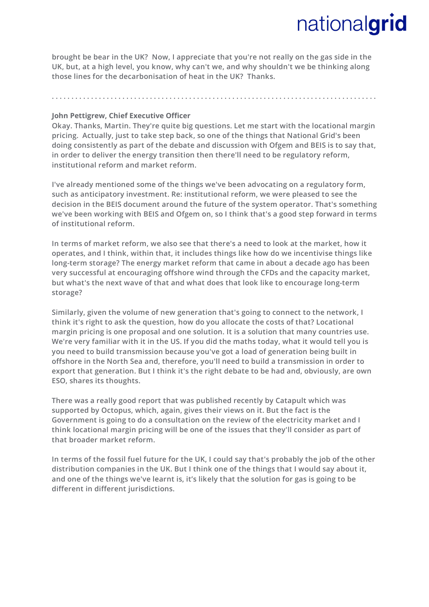**brought be bear in the UK? Now, I appreciate that you're not really on the gas side in the UK, but, at a high level, you know, why can't we, and why shouldn't we be thinking along those lines for the decarbonisation of heat in the UK? Thanks.**

**. . . . . . . . . . . . . . . . . . . . . . . . . . . . . . . . . . . . . . . . . . . . . . . . . . . . . . . . . . . . . . . . . . . . . . . . . . . . . . . . . . .** 

**John Pettigrew, Chief Executive Officer** 

**Okay. Thanks, Martin. They're quite big questions. Let me start with the locational margin pricing. Actually, just to take step back, so one of the things that National Grid's been doing consistently as part of the debate and discussion with Ofgem and BEIS is to say that, in order to deliver the energy transition then there'll need to be regulatory reform, institutional reform and market reform.** 

**I've already mentioned some of the things we've been advocating on a regulatory form, such as anticipatory investment. Re: institutional reform, we were pleased to see the decision in the BEIS document around the future of the system operator. That's something we've been working with BEIS and Ofgem on, so I think that's a good step forward in terms of institutional reform.** 

**In terms of market reform, we also see that there's a need to look at the market, how it operates, and I think, within that, it includes things like how do we incentivise things like long-term storage? The energy market reform that came in about a decade ago has been very successful at encouraging offshore wind through the CFDs and the capacity market, but what's the next wave of that and what does that look like to encourage long-term storage?** 

**Similarly, given the volume of new generation that's going to connect to the network, I think it's right to ask the question, how do you allocate the costs of that? Locational margin pricing is one proposal and one solution. It is a solution that many countries use. We're very familiar with it in the US. If you did the maths today, what it would tell you is you need to build transmission because you've got a load of generation being built in offshore in the North Sea and, therefore, you'll need to build a transmission in order to export that generation. But I think it's the right debate to be had and, obviously, are own ESO, shares its thoughts.** 

**There was a really good report that was published recently by Catapult which was supported by Octopus, which, again, gives their views on it. But the fact is the Government is going to do a consultation on the review of the electricity market and I think locational margin pricing will be one of the issues that they'll consider as part of that broader market reform.**

**In terms of the fossil fuel future for the UK, I could say that's probably the job of the other distribution companies in the UK. But I think one of the things that I would say about it, and one of the things we've learnt is, it's likely that the solution for gas is going to be different in different jurisdictions.**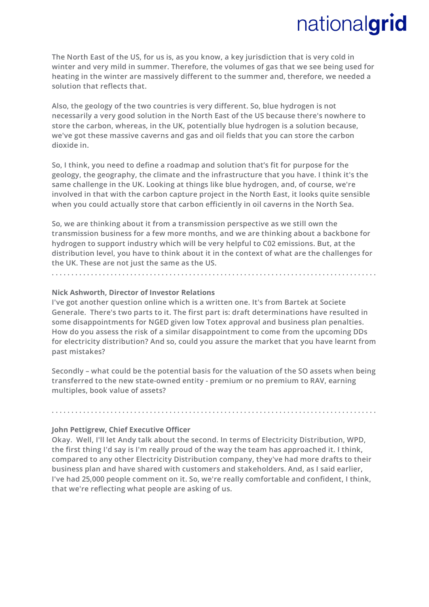**The North East of the US, for us is, as you know, a key jurisdiction that is very cold in winter and very mild in summer. Therefore, the volumes of gas that we see being used for heating in the winter are massively different to the summer and, therefore, we needed a solution that reflects that.** 

**Also, the geology of the two countries is very different. So, blue hydrogen is not necessarily a very good solution in the North East of the US because there's nowhere to store the carbon, whereas, in the UK, potentially blue hydrogen is a solution because, we've got these massive caverns and gas and oil fields that you can store the carbon dioxide in.** 

**So, I think, you need to define a roadmap and solution that's fit for purpose for the geology, the geography, the climate and the infrastructure that you have. I think it's the same challenge in the UK. Looking at things like blue hydrogen, and, of course, we're involved in that with the carbon capture project in the North East, it looks quite sensible when you could actually store that carbon efficiently in oil caverns in the North Sea.** 

**So, we are thinking about it from a transmission perspective as we still own the transmission business for a few more months, and we are thinking about a backbone for hydrogen to support industry which will be very helpful to C02 emissions. But, at the distribution level, you have to think about it in the context of what are the challenges for the UK. These are not just the same as the US.**

**. . . . . . . . . . . . . . . . . . . . . . . . . . . . . . . . . . . . . . . . . . . . . . . . . . . . . . . . . . . . . . . . . . . . . . . . . . . . . . . . . . .** 

#### **Nick Ashworth, Director of Investor Relations**

**I've got another question online which is a written one. It's from Bartek at Societe Generale. There's two parts to it. The first part is: draft determinations have resulted in some disappointments for NGED given low Totex approval and business plan penalties. How do you assess the risk of a similar disappointment to come from the upcoming DDs for electricity distribution? And so, could you assure the market that you have learnt from past mistakes?**

**Secondly – what could be the potential basis for the valuation of the SO assets when being transferred to the new state-owned entity - premium or no premium to RAV, earning multiples, book value of assets?**

**. . . . . . . . . . . . . . . . . . . . . . . . . . . . . . . . . . . . . . . . . . . . . . . . . . . . . . . . . . . . . . . . . . . . . . . . . . . . . . . . . . .** 

#### **John Pettigrew, Chief Executive Officer**

**Okay. Well, I'll let Andy talk about the second. In terms of Electricity Distribution, WPD, the first thing I'd say is I'm really proud of the way the team has approached it. I think, compared to any other Electricity Distribution company, they've had more drafts to their business plan and have shared with customers and stakeholders. And, as I said earlier, I've had 25,000 people comment on it. So, we're really comfortable and confident, I think, that we're reflecting what people are asking of us.**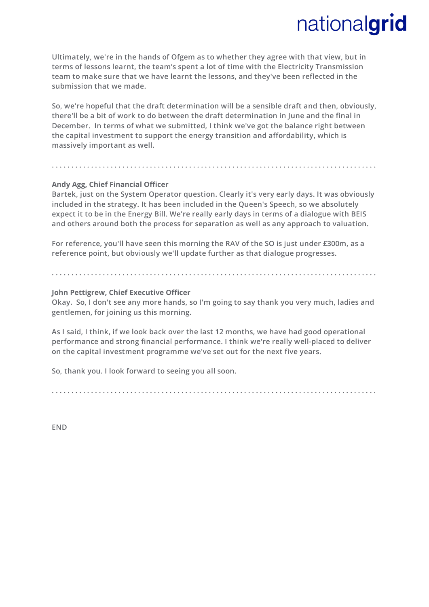**Ultimately, we're in the hands of Ofgem as to whether they agree with that view, but in terms of lessons learnt, the team's spent a lot of time with the Electricity Transmission team to make sure that we have learnt the lessons, and they've been reflected in the submission that we made.** 

**So, we're hopeful that the draft determination will be a sensible draft and then, obviously, there'll be a bit of work to do between the draft determination in June and the final in December. In terms of what we submitted, I think we've got the balance right between the capital investment to support the energy transition and affordability, which is massively important as well.**

**. . . . . . . . . . . . . . . . . . . . . . . . . . . . . . . . . . . . . . . . . . . . . . . . . . . . . . . . . . . . . . . . . . . . . . . . . . . . . . . . . . .** 

#### **Andy Agg, Chief Financial Officer**

**Bartek, just on the System Operator question. Clearly it's very early days. It was obviously included in the strategy. It has been included in the Queen's Speech, so we absolutely expect it to be in the Energy Bill. We're really early days in terms of a dialogue with BEIS and others around both the process for separation as well as any approach to valuation.** 

**For reference, you'll have seen this morning the RAV of the SO is just under £300m, as a reference point, but obviously we'll update further as that dialogue progresses.**

### **John Pettigrew, Chief Executive Officer**

**Okay. So, I don't see any more hands, so I'm going to say thank you very much, ladies and gentlemen, for joining us this morning.** 

**. . . . . . . . . . . . . . . . . . . . . . . . . . . . . . . . . . . . . . . . . . . . . . . . . . . . . . . . . . . . . . . . . . . . . . . . . . . . . . . . . . .** 

**As I said, I think, if we look back over the last 12 months, we have had good operational performance and strong financial performance. I think we're really well-placed to deliver on the capital investment programme we've set out for the next five years.** 

**So, thank you. I look forward to seeing you all soon.** 

**. . . . . . . . . . . . . . . . . . . . . . . . . . . . . . . . . . . . . . . . . . . . . . . . . . . . . . . . . . . . . . . . . . . . . . . . . . . . . . . . . . .** 

**END**